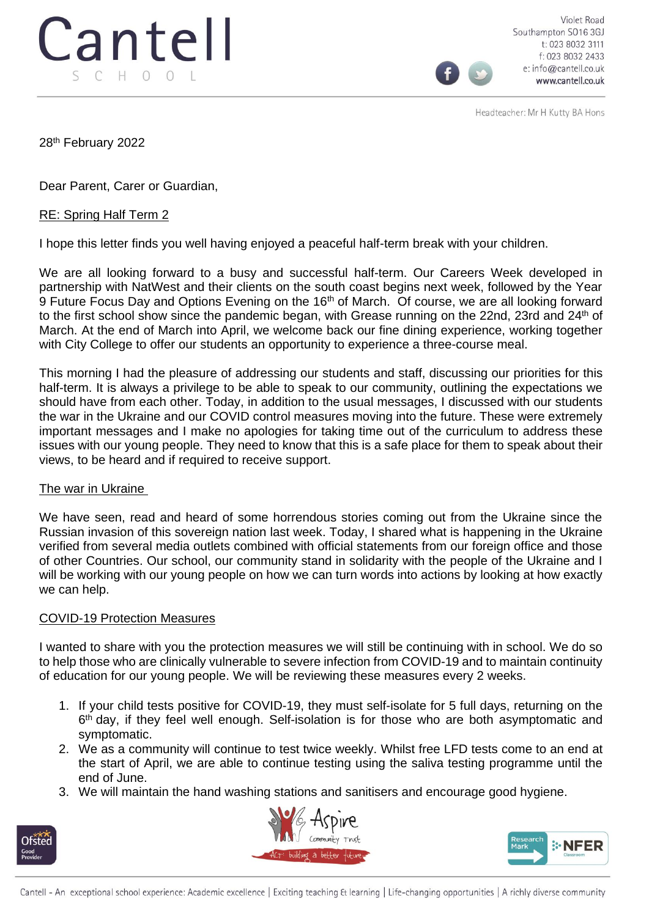

Violet Road Southampton SO16 3GJ t: 023 8032 3111 f: 023 8032 2433 e: info@cantell.co.uk www.cantell.co.uk

Headteacher: Mr H Kutty BA Hons

28th February 2022

Dear Parent, Carer or Guardian,

## RE: Spring Half Term 2

I hope this letter finds you well having enjoyed a peaceful half-term break with your children.

We are all looking forward to a busy and successful half-term. Our Careers Week developed in partnership with NatWest and their clients on the south coast begins next week, followed by the Year 9 Future Focus Day and Options Evening on the 16<sup>th</sup> of March. Of course, we are all looking forward to the first school show since the pandemic began, with Grease running on the 22nd, 23rd and 24<sup>th</sup> of March. At the end of March into April, we welcome back our fine dining experience, working together with City College to offer our students an opportunity to experience a three-course meal.

This morning I had the pleasure of addressing our students and staff, discussing our priorities for this half-term. It is always a privilege to be able to speak to our community, outlining the expectations we should have from each other. Today, in addition to the usual messages, I discussed with our students the war in the Ukraine and our COVID control measures moving into the future. These were extremely important messages and I make no apologies for taking time out of the curriculum to address these issues with our young people. They need to know that this is a safe place for them to speak about their views, to be heard and if required to receive support.

## The war in Ukraine

We have seen, read and heard of some horrendous stories coming out from the Ukraine since the Russian invasion of this sovereign nation last week. Today, I shared what is happening in the Ukraine verified from several media outlets combined with official statements from our foreign office and those of other Countries. Our school, our community stand in solidarity with the people of the Ukraine and I will be working with our young people on how we can turn words into actions by looking at how exactly we can help.

## COVID-19 Protection Measures

I wanted to share with you the protection measures we will still be continuing with in school. We do so to help those who are clinically vulnerable to severe infection from COVID-19 and to maintain continuity of education for our young people. We will be reviewing these measures every 2 weeks.

- 1. If your child tests positive for COVID-19, they must self-isolate for 5 full days, returning on the 6<sup>th</sup> day, if they feel well enough. Self-isolation is for those who are both asymptomatic and symptomatic.
- 2. We as a community will continue to test twice weekly. Whilst free LFD tests come to an end at the start of April, we are able to continue testing using the saliva testing programme until the end of June.
- 3. We will maintain the hand washing stations and sanitisers and encourage good hygiene.